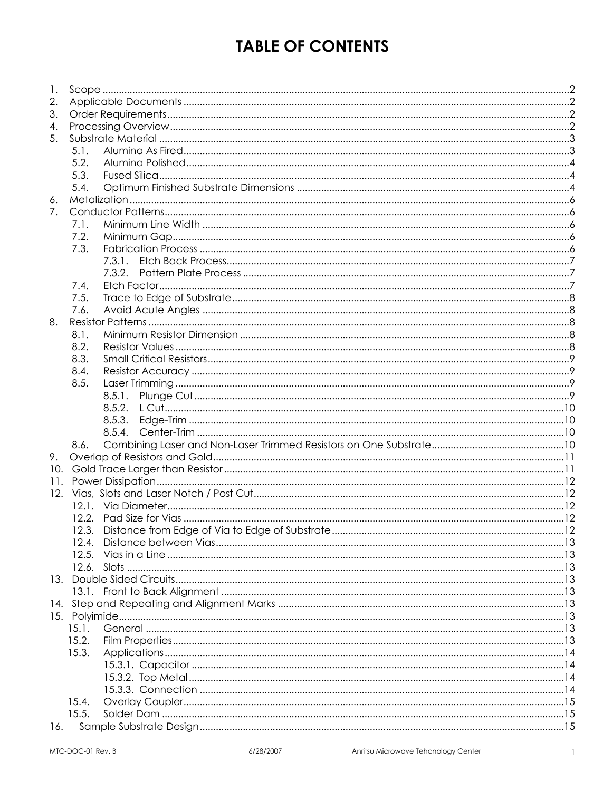# **TABLE OF CONTENTS**

| 1.  |       |  |
|-----|-------|--|
| 2.  |       |  |
| 3.  |       |  |
| 4.  |       |  |
| 5.  |       |  |
|     | 5.1.  |  |
|     | 5.2.  |  |
|     | 5.3.  |  |
|     | 5.4.  |  |
| 6.  |       |  |
| 7.  |       |  |
|     | 7.1.  |  |
|     | 7.2.  |  |
|     | 7.3.  |  |
|     |       |  |
|     |       |  |
|     | 7.4.  |  |
|     | 7.5.  |  |
|     | 7.6.  |  |
| 8.  |       |  |
|     | 8.1.  |  |
|     | 8.2.  |  |
|     | 8.3.  |  |
|     | 8.4.  |  |
|     | 8.5.  |  |
|     |       |  |
|     |       |  |
|     |       |  |
|     |       |  |
|     | 8.6.  |  |
| 9.  |       |  |
|     |       |  |
| 11. |       |  |
|     |       |  |
|     |       |  |
|     |       |  |
|     |       |  |
|     | 12.4. |  |
|     |       |  |
|     |       |  |
|     |       |  |
|     |       |  |
|     |       |  |
|     |       |  |
|     | 15.1. |  |
|     | 15.2. |  |
|     | 15.3. |  |
|     |       |  |
|     |       |  |
|     |       |  |
|     | 15.4. |  |
|     | 15.5. |  |
| 16. |       |  |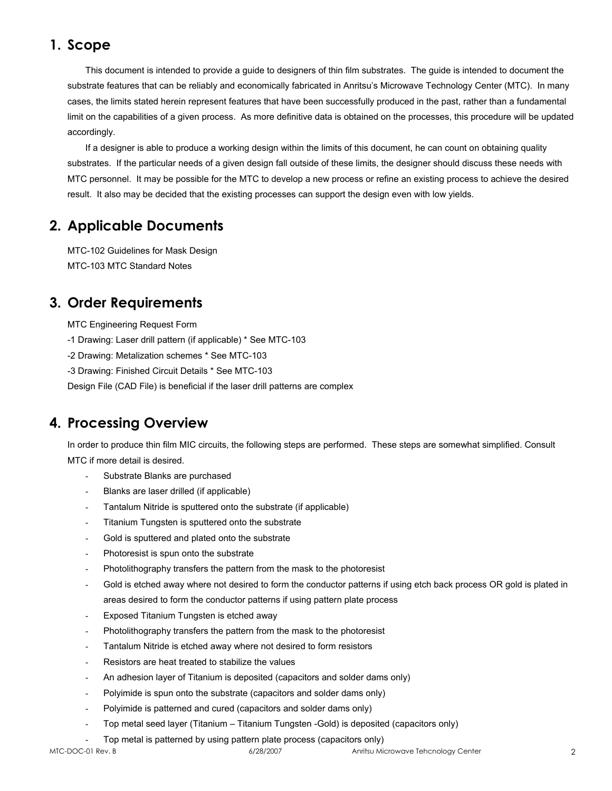# **1. Scope**

This document is intended to provide a guide to designers of thin film substrates. The guide is intended to document the substrate features that can be reliably and economically fabricated in Anritsu's Microwave Technology Center (MTC). In many cases, the limits stated herein represent features that have been successfully produced in the past, rather than a fundamental limit on the capabilities of a given process. As more definitive data is obtained on the processes, this procedure will be updated accordingly.

 If a designer is able to produce a working design within the limits of this document, he can count on obtaining quality substrates. If the particular needs of a given design fall outside of these limits, the designer should discuss these needs with MTC personnel. It may be possible for the MTC to develop a new process or refine an existing process to achieve the desired result. It also may be decided that the existing processes can support the design even with low yields.

# **2. Applicable Documents**

MTC-102 Guidelines for Mask Design MTC-103 MTC Standard Notes

# **3. Order Requirements**

MTC Engineering Request Form

-1 Drawing: Laser drill pattern (if applicable) \* See MTC-103

-2 Drawing: Metalization schemes \* See MTC-103

-3 Drawing: Finished Circuit Details \* See MTC-103

Design File (CAD File) is beneficial if the laser drill patterns are complex

# **4. Processing Overview**

In order to produce thin film MIC circuits, the following steps are performed. These steps are somewhat simplified. Consult MTC if more detail is desired.

- Substrate Blanks are purchased
- Blanks are laser drilled (if applicable)
- Tantalum Nitride is sputtered onto the substrate (if applicable)
- Titanium Tungsten is sputtered onto the substrate
- Gold is sputtered and plated onto the substrate
- Photoresist is spun onto the substrate
- Photolithography transfers the pattern from the mask to the photoresist
- Gold is etched away where not desired to form the conductor patterns if using etch back process OR gold is plated in areas desired to form the conductor patterns if using pattern plate process
- Exposed Titanium Tungsten is etched away
- Photolithography transfers the pattern from the mask to the photoresist
- Tantalum Nitride is etched away where not desired to form resistors
- Resistors are heat treated to stabilize the values
- An adhesion layer of Titanium is deposited (capacitors and solder dams only)
- Polyimide is spun onto the substrate (capacitors and solder dams only)
- Polyimide is patterned and cured (capacitors and solder dams only)
- Top metal seed layer (Titanium Titanium Tungsten -Gold) is deposited (capacitors only)
- Top metal is patterned by using pattern plate process (capacitors only)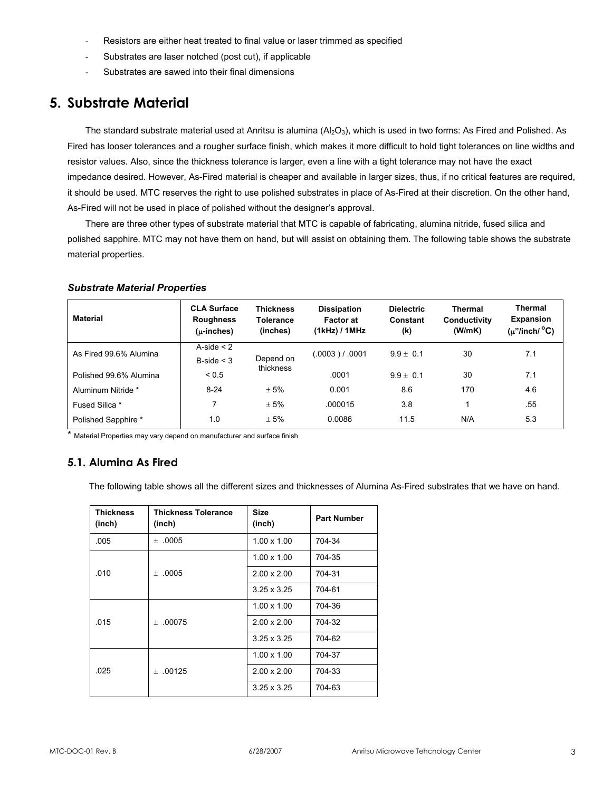- Resistors are either heat treated to final value or laser trimmed as specified
- Substrates are laser notched (post cut), if applicable
- Substrates are sawed into their final dimensions

# **5. Substrate Material**

The standard substrate material used at Anritsu is alumina  $(AI_2O_3)$ , which is used in two forms: As Fired and Polished. As Fired has looser tolerances and a rougher surface finish, which makes it more difficult to hold tight tolerances on line widths and resistor values. Also, since the thickness tolerance is larger, even a line with a tight tolerance may not have the exact impedance desired. However, As-Fired material is cheaper and available in larger sizes, thus, if no critical features are required, it should be used. MTC reserves the right to use polished substrates in place of As-Fired at their discretion. On the other hand, As-Fired will not be used in place of polished without the designer's approval.

There are three other types of substrate material that MTC is capable of fabricating, alumina nitride, fused silica and polished sapphire. MTC may not have them on hand, but will assist on obtaining them. The following table shows the substrate material properties.

| <b>Material</b>        | <b>CLA Surface</b><br><b>Roughness</b><br>$(u\text{-}inches)$ | <b>Thickness</b><br><b>Tolerance</b><br>(inches) | <b>Dissipation</b><br><b>Factor at</b><br>(1kHz) / 1MHz | <b>Dielectric</b><br>Constant<br>(k) | <b>Thermal</b><br>Conductivity<br>(W/mK) | <b>Thermal</b><br><b>Expansion</b><br>$(\mu"$ /inch/ $^{\circ}$ C) |  |
|------------------------|---------------------------------------------------------------|--------------------------------------------------|---------------------------------------------------------|--------------------------------------|------------------------------------------|--------------------------------------------------------------------|--|
| As Fired 99.6% Alumina | A-side $<$ 2                                                  |                                                  | (.0003) / .0001                                         | $9.9 + 0.1$                          | 30                                       | 7.1                                                                |  |
|                        | B-side $<$ 3                                                  | Depend on<br>thickness                           |                                                         |                                      |                                          |                                                                    |  |
| Polished 99.6% Alumina | ${}_{0.5}$                                                    |                                                  | .0001                                                   | $9.9 + 0.1$                          | 30                                       | 7.1                                                                |  |
| Aluminum Nitride *     | $8 - 24$                                                      | ± 5%                                             | 0.001                                                   | 8.6                                  | 170                                      | 4.6                                                                |  |
| Fused Silica *         | 7                                                             | ± 5%                                             | .000015                                                 | 3.8                                  |                                          | .55                                                                |  |
| Polished Sapphire *    | 1.0                                                           | ± 5%                                             | 0.0086                                                  | 11.5                                 | N/A                                      | 5.3                                                                |  |

#### *Substrate Material Properties*

\* Material Properties may vary depend on manufacturer and surface finish

# **5.1. Alumina As Fired**

The following table shows all the different sizes and thicknesses of Alumina As-Fired substrates that we have on hand.

| <b>Thickness</b><br>(inch) | <b>Thickness Tolerance</b><br>(inch) | <b>Size</b><br>(inch)        | <b>Part Number</b> |
|----------------------------|--------------------------------------|------------------------------|--------------------|
| .005                       | ±.0005                               | $1.00 \times 1.00$           | 704-34             |
|                            |                                      | $1.00 \times 1.00$           | 704-35             |
| .010                       | $+ 0005$                             | $2.00 \times 2.00$           | 704-31             |
|                            |                                      | $3.25 \times 3.25$           | 704-61             |
|                            |                                      | $1.00 \times 1.00$           | 704-36             |
| .015                       | $+ 00075$                            | $2.00 \times 2.00$<br>704-32 |                    |
|                            |                                      | $3.25 \times 3.25$           | 704-62             |
|                            |                                      | $1.00 \times 1.00$           | 704-37             |
| .025                       | $+ .00125$                           | $2.00 \times 2.00$           | 704-33             |
|                            |                                      | $3.25 \times 3.25$           | 704-63             |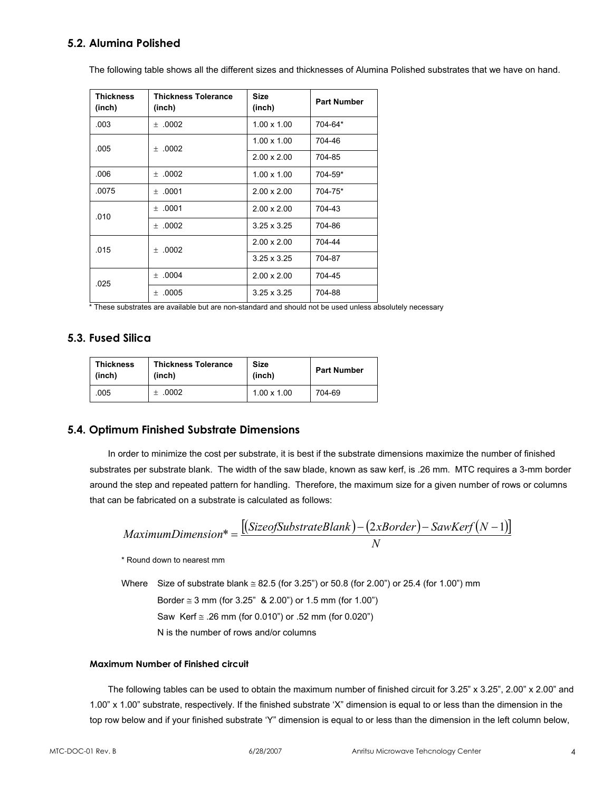# **5.2. Alumina Polished**

The following table shows all the different sizes and thicknesses of Alumina Polished substrates that we have on hand.

| <b>Thickness</b><br>(inch) | <b>Thickness Tolerance</b><br>(inch) | <b>Size</b><br>(inch) | <b>Part Number</b> |
|----------------------------|--------------------------------------|-----------------------|--------------------|
| .003                       | ±.0002                               | $1.00 \times 1.00$    | 704-64*            |
| .005                       | ±.0002                               | $1.00 \times 1.00$    | 704-46             |
|                            |                                      | $2.00 \times 2.00$    | 704-85             |
| .006                       | ±.0002                               | $1.00 \times 1.00$    | 704-59*            |
| .0075                      | ±.0001                               | $2.00 \times 2.00$    | 704-75*            |
| .010                       | ±.0001                               | $2.00 \times 2.00$    | 704-43             |
|                            | ±.0002                               | $3.25 \times 3.25$    | 704-86             |
| .015                       | $+ .0002$                            | $2.00 \times 2.00$    | 704-44             |
|                            |                                      | $3.25 \times 3.25$    | 704-87             |
| .025                       | ±.0004                               | $2.00 \times 2.00$    | 704-45             |
|                            | .0005<br>$^{+}$                      | $3.25 \times 3.25$    | 704-88             |

\* These substrates are available but are non-standard and should not be used unless absolutely necessary

# **5.3. Fused Silica**

| <b>Thickness</b> | <b>Thickness Tolerance</b> | <b>Size</b>        | <b>Part Number</b> |
|------------------|----------------------------|--------------------|--------------------|
| (inch)           | (inch)                     | (inch)             |                    |
| 005              | ±.0002                     | $1.00 \times 1.00$ | 704-69             |

# **5.4. Optimum Finished Substrate Dimensions**

In order to minimize the cost per substrate, it is best if the substrate dimensions maximize the number of finished substrates per substrate blank. The width of the saw blade, known as saw kerf, is .26 mm. MTC requires a 3-mm border around the step and repeated pattern for handling. Therefore, the maximum size for a given number of rows or columns that can be fabricated on a substrate is calculated as follows:

$$
Maximum Dimension* = \frac{[(Size of SubstrateBlank) - (2xBorder) - SawKerf(N - 1)]}{N}
$$

\* Round down to nearest mm

Where Size of substrate blank  $\leq$  82.5 (for 3.25") or 50.8 (for 2.00") or 25.4 (for 1.00") mm Border  $\approx$  3 mm (for 3.25" & 2.00") or 1.5 mm (for 1.00") Saw Kerf  $\approx$  .26 mm (for 0.010") or .52 mm (for 0.020") N is the number of rows and/or columns

#### **Maximum Number of Finished circuit**

The following tables can be used to obtain the maximum number of finished circuit for 3.25" x 3.25", 2.00" x 2.00" and 1.00" x 1.00" substrate, respectively. If the finished substrate 'X" dimension is equal to or less than the dimension in the top row below and if your finished substrate 'Y" dimension is equal to or less than the dimension in the left column below,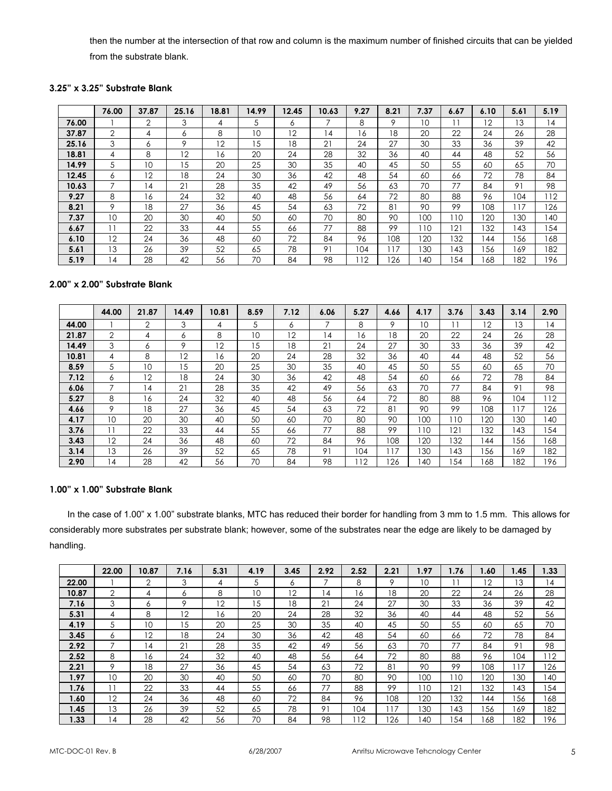then the number at the intersection of that row and column is the maximum number of finished circuits that can be yielded from the substrate blank.

#### **3.25" x 3.25" Substrate Blank**

|       | 76.00          | 37.87          | 25.16 | 18.81 | 14.99 | 12.45 | 10.63 | 9.27 | 8.21 | 7.37            | 6.67 | 6.10 | 5.61 | 5.19 |
|-------|----------------|----------------|-------|-------|-------|-------|-------|------|------|-----------------|------|------|------|------|
| 76.00 |                | $\overline{2}$ | 3     | 4     | 5     | O     |       | 8    | 9    | 10 <sup>°</sup> |      | 12   | 13   | 14   |
| 37.87 | 2              | 4              | 6     | 8     | 10    | 12    | 14    | 16   | 18   | 20              | 22   | 24   | 26   | 28   |
| 25.16 | 3              | 6              | 9     | 12    | 15    | 18    | 21    | 24   | 27   | 30              | 33   | 36   | 39   | 42   |
| 18.81 | 4              | 8              | 12    | 6     | 20    | 24    | 28    | 32   | 36   | 40              | 44   | 48   | 52   | 56   |
| 14.99 | 5              | 10             | 15    | 20    | 25    | 30    | 35    | 40   | 45   | 50              | 55   | 60   | 65   | 70   |
| 12.45 | 6              | 12             | 18    | 24    | 30    | 36    | 42    | 48   | 54   | 60              | 66   | 72   | 78   | 84   |
| 10.63 |                | 14             | 21    | 28    | 35    | 42    | 49    | 56   | 63   | 70              | 77   | 84   | 91   | 98   |
| 9.27  | 8              | 16             | 24    | 32    | 40    | 48    | 56    | 64   | 72   | 80              | 88   | 96   | 104  | 112  |
| 8.21  | 9              | 18             | 27    | 36    | 45    | 54    | 63    | 72   | 81   | 90              | 99   | 108  | 117  | 126  |
| 7.37  | 10             | 20             | 30    | 40    | 50    | 60    | 70    | 80   | 90   | 100             | 10   | 120  | 130  | 140  |
| 6.67  |                | 22             | 33    | 44    | 55    | 66    | 77    | 88   | 99   | 110             | 121  | 132  | 143  | 154  |
| 6.10  | 12             | 24             | 36    | 48    | 60    | 72    | 84    | 96   | 108  | 120             | 132  | 144  | 156  | 168  |
| 5.61  | 13             | 26             | 39    | 52    | 65    | 78    | 91    | 104  | 17   | 130             | 43   | 156  | 169  | 182  |
| 5.19  | $\overline{4}$ | 28             | 42    | 56    | 70    | 84    | 98    | 112  | 126  | 140             | 154  | 168  | 182  | 196  |

### **2.00" x 2.00" Substrate Blank**

|       | 44.00 | 21.87          | 14.49 | 10.81 | 8.59 | 7.12 | 6.06 | 5.27 | 4.66 | 4.17 | 3.76 | 3.43 | 3.14 | 2.90 |
|-------|-------|----------------|-------|-------|------|------|------|------|------|------|------|------|------|------|
| 44.00 |       | 2              | 3     | 4     | 5    | 6    | 7    | 8    | 9    | 10   |      | 12   | 13   | 14   |
| 21.87 | 2     | 4              | 6     | 8     | 10   | 12   | 14   | 16   | 18   | 20   | 22   | 24   | 26   | 28   |
| 14.49 | 3     | 6              | 9     | 12    | .5   | 18   | 21   | 24   | 27   | 30   | 33   | 36   | 39   | 42   |
| 10.81 | 4     | 8              | 12    | 16    | 20   | 24   | 28   | 32   | 36   | 40   | 44   | 48   | 52   | 56   |
| 8.59  | 5     | 10             | 15    | 20    | 25   | 30   | 35   | 40   | 45   | 50   | 55   | 60   | 65   | 70   |
| 7.12  | 6     | 12             | 18    | 24    | 30   | 36   | 42   | 48   | 54   | 60   | 66   | 72   | 78   | 84   |
| 6.06  |       | $\overline{4}$ | 21    | 28    | 35   | 42   | 49   | 56   | 63   | 70   | 77   | 84   | 91   | 98   |
| 5.27  | 8     | 16             | 24    | 32    | 40   | 48   | 56   | 64   | 72   | 80   | 88   | 96   | 104  | 12   |
| 4.66  | 9     | 18             | 27    | 36    | 45   | 54   | 63   | 72   | 81   | 90   | 99   | 108  | 117  | 126  |
| 4.17  | 10    | 20             | 30    | 40    | 50   | 60   | 70   | 80   | 90   | 100  | 10   | 20   | 130  | 140  |
| 3.76  |       | 22             | 33    | 44    | 55   | 66   | 77   | 88   | 99   | 110  | 121  | 32   | 143  | 54   |
| 3.43  | 12    | 24             | 36    | 48    | 60   | 72   | 84   | 96   | 108  | 120  | 132  | 44   | 156  | 68   |
| 3.14  | 13    | 26             | 39    | 52    | 65   | 78   | 91   | 104  | 117  | 130  | 43   | 56   | 169  | 182  |
| 2.90  | 14    | 28             | 42    | 56    | 70   | 84   | 98   | 12   | 126  | 40   | 54   | 68   | 182  | 196  |

# **1.00" x 1.00" Substrate Blank**

In the case of 1.00" x 1.00" substrate blanks, MTC has reduced their border for handling from 3 mm to 1.5 mm. This allows for considerably more substrates per substrate blank; however, some of the substrates near the edge are likely to be damaged by handling.

|       | 22.00 | 10.87          | 7.16 | 5.31 | 4.19 | 3.45 | 2.92 | 2.52 | 2.21 | 1.97 | 1.76 | 1.60 | 1.45 | 1.33 |
|-------|-------|----------------|------|------|------|------|------|------|------|------|------|------|------|------|
| 22.00 |       | $\overline{2}$ | 3    | 4    | 5    | 6    | ⇁    | 8    | 9    | 10   |      | 12   | 13   | 14   |
| 10.87 | 2     | 4              | 6    | 8    | 10   | 12   | 14   | 16   | 18   | 20   | 22   | 24   | 26   | 28   |
| 7.16  | 3     | 6              | 9    | 12   | 15   | 18   | 21   | 24   | 27   | 30   | 33   | 36   | 39   | 42   |
| 5.31  | 4     | 8              | 12   | 6    | 20   | 24   | 28   | 32   | 36   | 40   | 44   | 48   | 52   | 56   |
| 4.19  | 5     | 10             | 15   | 20   | 25   | 30   | 35   | 40   | 45   | 50   | 55   | 60   | 65   | 70   |
| 3.45  | 6     | 12             | 18   | 24   | 30   | 36   | 42   | 48   | 54   | 60   | 66   | 72   | 78   | 84   |
| 2.92  |       | 14             | 21   | 28   | 35   | 42   | 49   | 56   | 63   | 70   | 77   | 84   | 91   | 98   |
| 2.52  | 8     | 16             | 24   | 32   | 40   | 48   | 56   | 64   | 72   | 80   | 88   | 96   | 104  | 112  |
| 2.21  | 9     | 18             | 27   | 36   | 45   | 54   | 63   | 72   | 81   | 90   | 99   | 108  | 117  | 126  |
| 1.97  | 10    | 20             | 30   | 40   | 50   | 60   | 70   | 80   | 90   | 100  | 110  | '20  | 130  | 40   |
| 1.76  | ۱۱    | 22             | 33   | 44   | 55   | 66   | 77   | 88   | 99   | 10   | 121  | 32   | 143  | 54   |
| 1.60  | 12    | 24             | 36   | 48   | 60   | 72   | 84   | 96   | 108  | 120  | 132  | 44   | 156  | 68   |
| 1.45  | ıз    | 26             | 39   | 52   | 65   | 78   | 91   | 104  | 17   | 130  | 143  | 56   | 169  | 182  |
| 1.33  | 4     | 28             | 42   | 56   | 70   | 84   | 98   | 12   | 26   | 40   | 154  | 68   | 182  | 196  |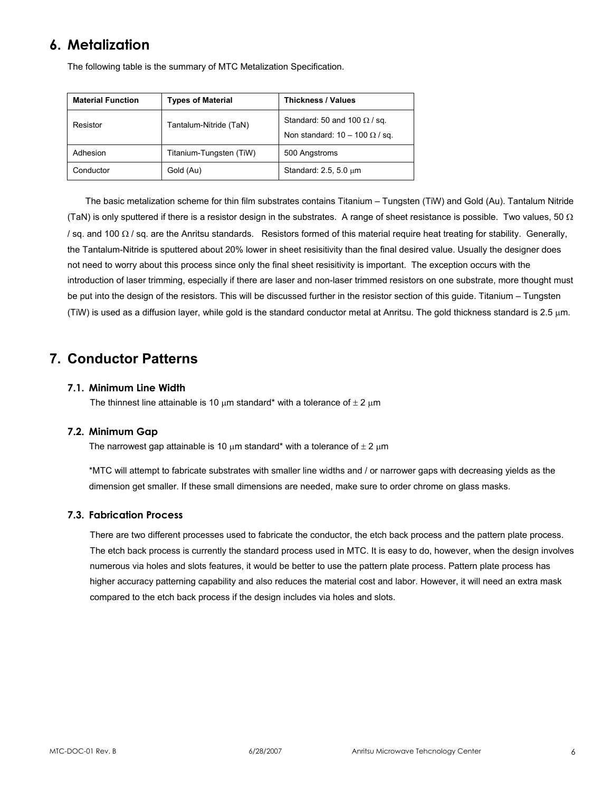# **6. Metalization**

The following table is the summary of MTC Metalization Specification.

| <b>Material Function</b> | <b>Types of Material</b> | <b>Thickness / Values</b>                                                    |
|--------------------------|--------------------------|------------------------------------------------------------------------------|
| Resistor                 | Tantalum-Nitride (TaN)   | Standard: 50 and 100 $\Omega$ / sq.<br>Non standard: $10 - 100 \Omega / sq.$ |
| Adhesion                 | Titanium-Tungsten (TiW)  | 500 Angstroms                                                                |
| Conductor                | Gold (Au)                | Standard: 2.5, 5.0 um                                                        |

The basic metalization scheme for thin film substrates contains Titanium – Tungsten (TiW) and Gold (Au). Tantalum Nitride (TaN) is only sputtered if there is a resistor design in the substrates. A range of sheet resistance is possible. Two values, 50  $\Omega$ / sq. and 100 Ω / sq. are the Anritsu standards. Resistors formed of this material require heat treating for stability. Generally, the Tantalum-Nitride is sputtered about 20% lower in sheet resisitivity than the final desired value. Usually the designer does not need to worry about this process since only the final sheet resisitivity is important. The exception occurs with the introduction of laser trimming, especially if there are laser and non-laser trimmed resistors on one substrate, more thought must be put into the design of the resistors. This will be discussed further in the resistor section of this guide. Titanium – Tungsten (TiW) is used as a diffusion layer, while gold is the standard conductor metal at Anritsu. The gold thickness standard is 2.5 µm.

# **7. Conductor Patterns**

#### **7.1. Minimum Line Width**

The thinnest line attainable is 10  $\mu$ m standard\* with a tolerance of  $\pm 2 \mu$ m

#### **7.2. Minimum Gap**

The narrowest gap attainable is 10  $\mu$ m standard\* with a tolerance of  $\pm 2 \mu$ m

\*MTC will attempt to fabricate substrates with smaller line widths and / or narrower gaps with decreasing yields as the dimension get smaller. If these small dimensions are needed, make sure to order chrome on glass masks.

#### **7.3. Fabrication Process**

There are two different processes used to fabricate the conductor, the etch back process and the pattern plate process. The etch back process is currently the standard process used in MTC. It is easy to do, however, when the design involves numerous via holes and slots features, it would be better to use the pattern plate process. Pattern plate process has higher accuracy patterning capability and also reduces the material cost and labor. However, it will need an extra mask compared to the etch back process if the design includes via holes and slots.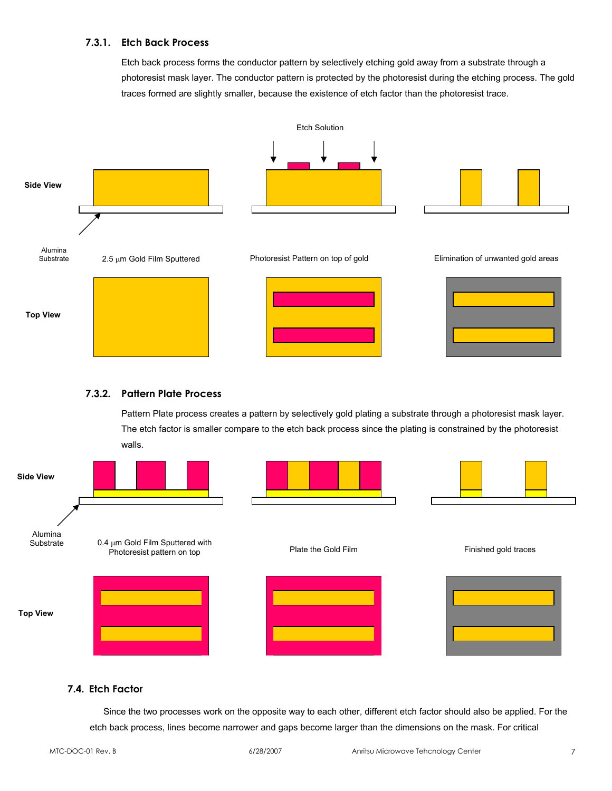#### **7.3.1. Etch Back Process**

Etch back process forms the conductor pattern by selectively etching gold away from a substrate through a photoresist mask layer. The conductor pattern is protected by the photoresist during the etching process. The gold traces formed are slightly smaller, because the existence of etch factor than the photoresist trace.



#### **7.3.2. Pattern Plate Process**

Pattern Plate process creates a pattern by selectively gold plating a substrate through a photoresist mask layer. The etch factor is smaller compare to the etch back process since the plating is constrained by the photoresist walls.



#### **7.4. Etch Factor**

Since the two processes work on the opposite way to each other, different etch factor should also be applied. For the etch back process, lines become narrower and gaps become larger than the dimensions on the mask. For critical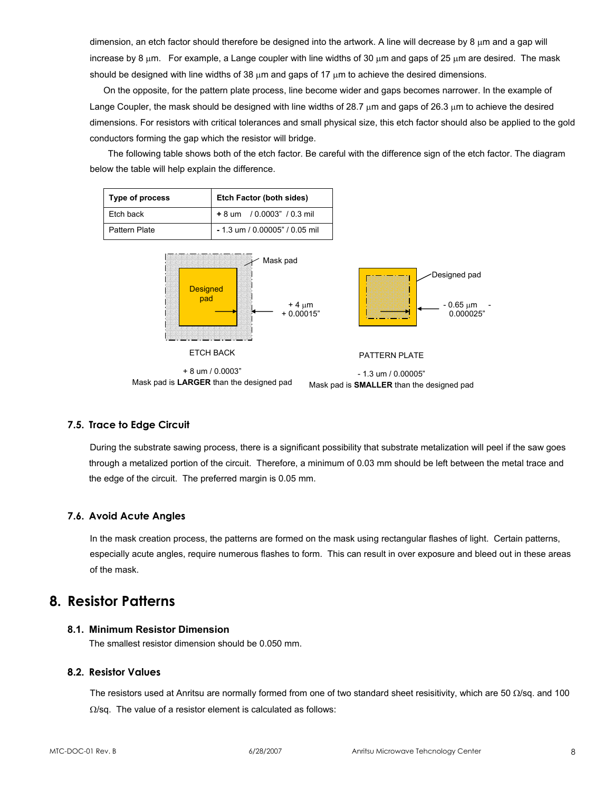dimension, an etch factor should therefore be designed into the artwork. A line will decrease by 8  $\mu$ m and a gap will increase by 8  $\mu$ m. For example, a Lange coupler with line widths of 30  $\mu$ m and gaps of 25  $\mu$ m are desired. The mask should be designed with line widths of 38  $\mu$ m and gaps of 17  $\mu$ m to achieve the desired dimensions.

On the opposite, for the pattern plate process, line become wider and gaps becomes narrower. In the example of Lange Coupler, the mask should be designed with line widths of 28.7  $\mu$ m and gaps of 26.3  $\mu$ m to achieve the desired dimensions. For resistors with critical tolerances and small physical size, this etch factor should also be applied to the gold conductors forming the gap which the resistor will bridge.

The following table shows both of the etch factor. Be careful with the difference sign of the etch factor. The diagram below the table will help explain the difference.



#### **7.5. Trace to Edge Circuit**

During the substrate sawing process, there is a significant possibility that substrate metalization will peel if the saw goes through a metalized portion of the circuit. Therefore, a minimum of 0.03 mm should be left between the metal trace and the edge of the circuit. The preferred margin is 0.05 mm.

# **7.6. Avoid Acute Angles**

In the mask creation process, the patterns are formed on the mask using rectangular flashes of light. Certain patterns, especially acute angles, require numerous flashes to form. This can result in over exposure and bleed out in these areas of the mask.

# **8. Resistor Patterns**

#### **8.1. Minimum Resistor Dimension**

The smallest resistor dimension should be 0.050 mm.

#### **8.2. Resistor Values**

The resistors used at Anritsu are normally formed from one of two standard sheet resisitivity, which are 50  $\Omega$ /sq. and 100  $\Omega$ /sq. The value of a resistor element is calculated as follows: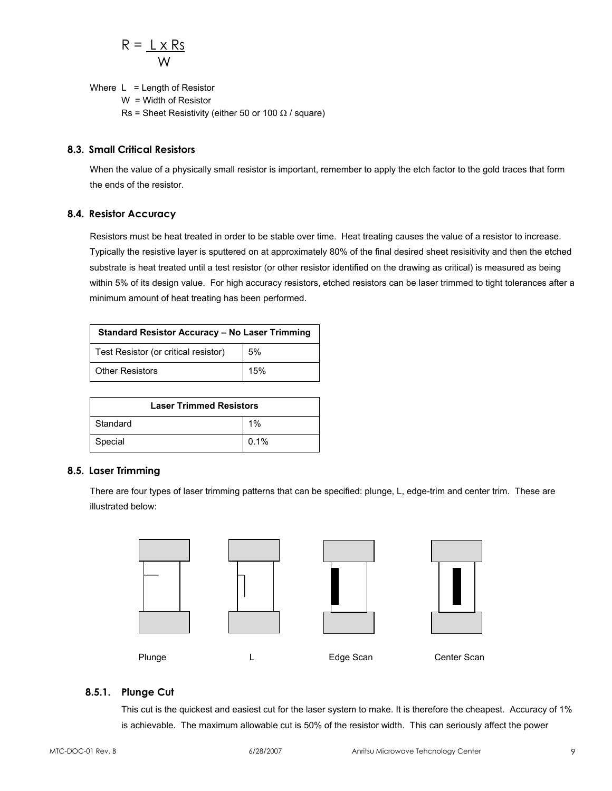$$
R = \frac{L \times Rs}{W}
$$

Where  $L =$  Length of Resistor W = Width of Resistor Rs = Sheet Resistivity (either 50 or 100  $\Omega$  / square)

#### **8.3. Small Critical Resistors**

When the value of a physically small resistor is important, remember to apply the etch factor to the gold traces that form the ends of the resistor.

#### **8.4. Resistor Accuracy**

Resistors must be heat treated in order to be stable over time. Heat treating causes the value of a resistor to increase. Typically the resistive layer is sputtered on at approximately 80% of the final desired sheet resisitivity and then the etched substrate is heat treated until a test resistor (or other resistor identified on the drawing as critical) is measured as being within 5% of its design value. For high accuracy resistors, etched resistors can be laser trimmed to tight tolerances after a minimum amount of heat treating has been performed.

| <b>Standard Resistor Accuracy - No Laser Trimming</b> |     |  |  |  |  |
|-------------------------------------------------------|-----|--|--|--|--|
| Test Resistor (or critical resistor)                  | 5%  |  |  |  |  |
| <b>Other Resistors</b>                                | 15% |  |  |  |  |

| <b>Laser Trimmed Resistors</b> |      |  |  |  |  |
|--------------------------------|------|--|--|--|--|
| Standard<br>1%                 |      |  |  |  |  |
| Special                        | 0.1% |  |  |  |  |

# **8.5. Laser Trimming**

There are four types of laser trimming patterns that can be specified: plunge, L, edge-trim and center trim. These are illustrated below:



# **8.5.1. Plunge Cut**

This cut is the quickest and easiest cut for the laser system to make. It is therefore the cheapest. Accuracy of 1% is achievable. The maximum allowable cut is 50% of the resistor width. This can seriously affect the power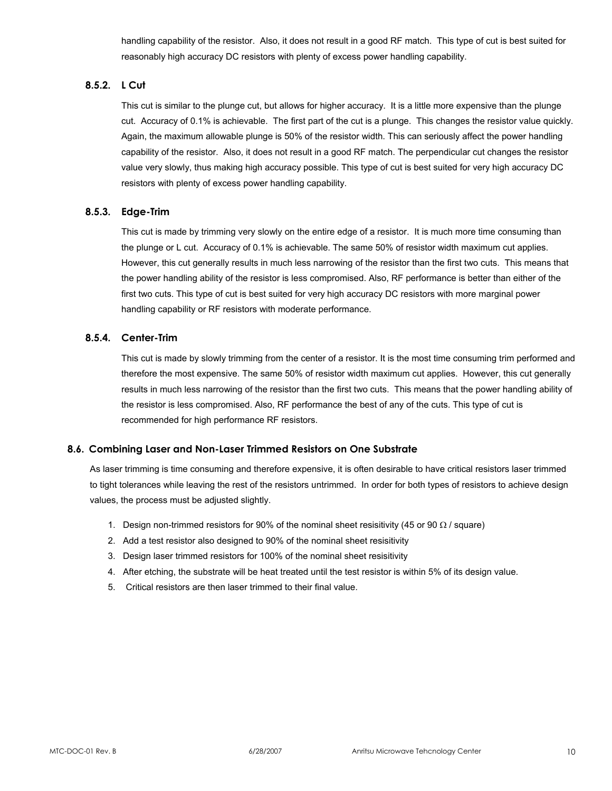handling capability of the resistor. Also, it does not result in a good RF match. This type of cut is best suited for reasonably high accuracy DC resistors with plenty of excess power handling capability.

# **8.5.2. L Cut**

This cut is similar to the plunge cut, but allows for higher accuracy. It is a little more expensive than the plunge cut. Accuracy of 0.1% is achievable. The first part of the cut is a plunge. This changes the resistor value quickly. Again, the maximum allowable plunge is 50% of the resistor width. This can seriously affect the power handling capability of the resistor. Also, it does not result in a good RF match. The perpendicular cut changes the resistor value very slowly, thus making high accuracy possible. This type of cut is best suited for very high accuracy DC resistors with plenty of excess power handling capability.

#### **8.5.3. Edge-Trim**

This cut is made by trimming very slowly on the entire edge of a resistor. It is much more time consuming than the plunge or L cut. Accuracy of 0.1% is achievable. The same 50% of resistor width maximum cut applies. However, this cut generally results in much less narrowing of the resistor than the first two cuts. This means that the power handling ability of the resistor is less compromised. Also, RF performance is better than either of the first two cuts. This type of cut is best suited for very high accuracy DC resistors with more marginal power handling capability or RF resistors with moderate performance.

#### **8.5.4. Center-Trim**

This cut is made by slowly trimming from the center of a resistor. It is the most time consuming trim performed and therefore the most expensive. The same 50% of resistor width maximum cut applies. However, this cut generally results in much less narrowing of the resistor than the first two cuts. This means that the power handling ability of the resistor is less compromised. Also, RF performance the best of any of the cuts. This type of cut is recommended for high performance RF resistors.

#### **8.6. Combining Laser and Non-Laser Trimmed Resistors on One Substrate**

As laser trimming is time consuming and therefore expensive, it is often desirable to have critical resistors laser trimmed to tight tolerances while leaving the rest of the resistors untrimmed. In order for both types of resistors to achieve design values, the process must be adjusted slightly.

- 1. Design non-trimmed resistors for 90% of the nominal sheet resisitivity (45 or 90  $\Omega$  / square)
- 2. Add a test resistor also designed to 90% of the nominal sheet resisitivity
- 3. Design laser trimmed resistors for 100% of the nominal sheet resisitivity
- 4. After etching, the substrate will be heat treated until the test resistor is within 5% of its design value.
- 5. Critical resistors are then laser trimmed to their final value.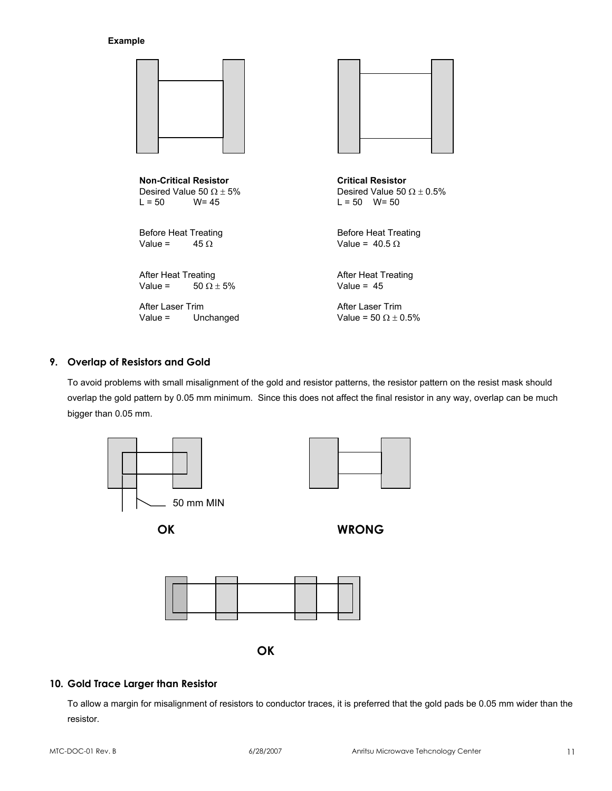#### **Example**

| <b>Non-Critical Resistor</b><br>Desired Value 50 $\Omega$ ± 5%<br>$L = 50$ W= 45 | <b>Critical Resistor</b><br>Desired Value 50 $\Omega \pm 0.5\%$<br>$L = 50$ W= 50 |
|----------------------------------------------------------------------------------|-----------------------------------------------------------------------------------|
| <b>Before Heat Treating</b><br>Value $=$<br>$45 \Omega$                          | <b>Before Heat Treating</b><br>Value = $40.5 \Omega$                              |
| After Heat Treating<br>Value = $50 \Omega \pm 5\%$                               | <b>After Heat Treating</b><br>Value = $45$                                        |
| After Laser Trim<br>Value $=$<br>Unchanged                                       | After Laser Trim<br>Value = 50 $\Omega$ + 0.5%                                    |

#### **9. Overlap of Resistors and Gold**

To avoid problems with small misalignment of the gold and resistor patterns, the resistor pattern on the resist mask should overlap the gold pattern by 0.05 mm minimum. Since this does not affect the final resistor in any way, overlap can be much bigger than 0.05 mm.



### **10. Gold Trace Larger than Resistor**

To allow a margin for misalignment of resistors to conductor traces, it is preferred that the gold pads be 0.05 mm wider than the resistor.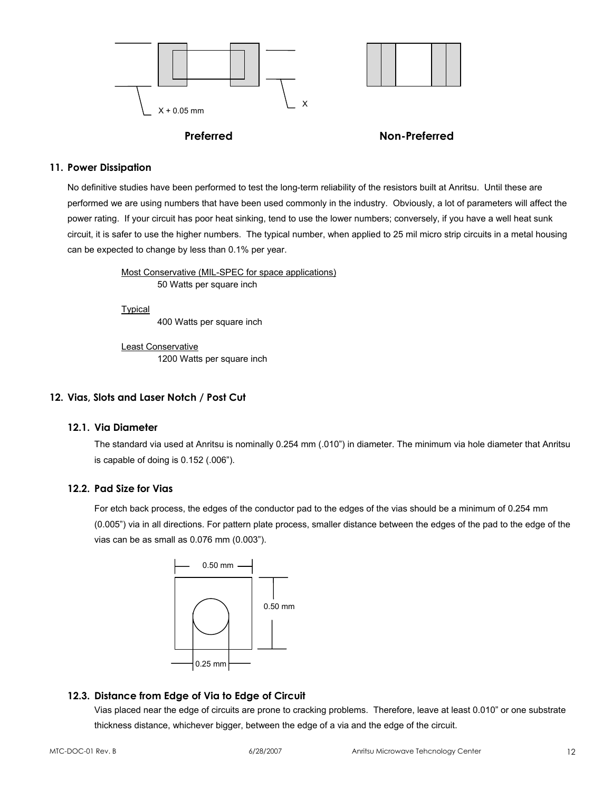



#### **Preferred Non-Preferred**

#### **11. Power Dissipation**

No definitive studies have been performed to test the long-term reliability of the resistors built at Anritsu. Until these are performed we are using numbers that have been used commonly in the industry. Obviously, a lot of parameters will affect the power rating. If your circuit has poor heat sinking, tend to use the lower numbers; conversely, if you have a well heat sunk circuit, it is safer to use the higher numbers. The typical number, when applied to 25 mil micro strip circuits in a metal housing can be expected to change by less than 0.1% per year.

> Most Conservative (MIL-SPEC for space applications) 50 Watts per square inch

Typical

400 Watts per square inch

Least Conservative 1200 Watts per square inch

# **12. Vias, Slots and Laser Notch / Post Cut**

#### **12.1. Via Diameter**

The standard via used at Anritsu is nominally 0.254 mm (.010") in diameter. The minimum via hole diameter that Anritsu is capable of doing is 0.152 (.006").

#### **12.2. Pad Size for Vias**

For etch back process, the edges of the conductor pad to the edges of the vias should be a minimum of 0.254 mm (0.005") via in all directions. For pattern plate process, smaller distance between the edges of the pad to the edge of the vias can be as small as 0.076 mm (0.003").



# **12.3. Distance from Edge of Via to Edge of Circuit**

Vias placed near the edge of circuits are prone to cracking problems. Therefore, leave at least 0.010" or one substrate thickness distance, whichever bigger, between the edge of a via and the edge of the circuit.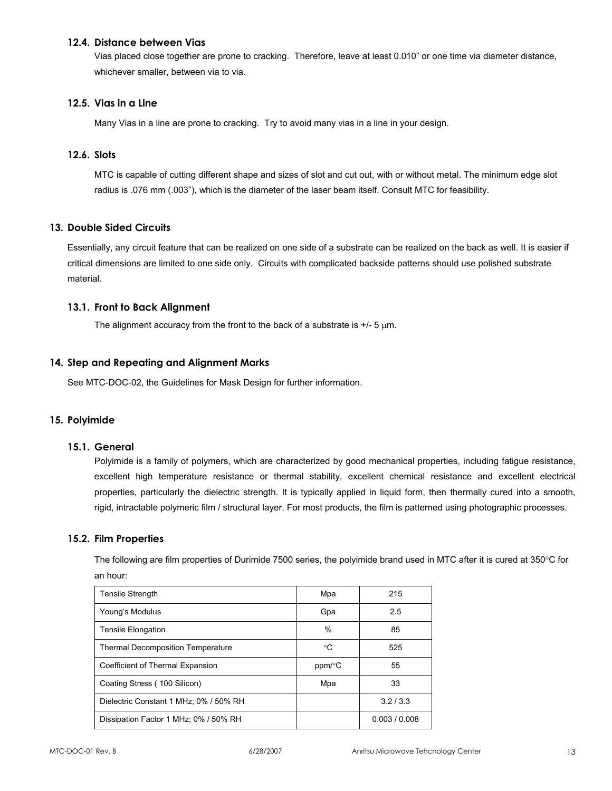#### **12.4. Distance between Vias**

Vias placed close together are prone to cracking. Therefore, leave at least 0.010" or one time via diameter distance, whichever smaller, between via to via.

### **12.5. Vias in a Line**

Many Vias in a line are prone to cracking. Try to avoid many vias in a line in your design.

#### **12.6. Slots**

MTC is capable of cutting different shape and sizes of slot and cut out, with or without metal. The minimum edge slot radius is .076 mm (.003"), which is the diameter of the laser beam itself. Consult MTC for feasibility.

#### **13. Double Sided Circuits**

Essentially, any circuit feature that can be realized on one side of a substrate can be realized on the back as well. It is easier if critical dimensions are limited to one side only. Circuits with complicated backside patterns should use polished substrate material.

# **13.1. Front to Back Alignment**

The alignment accuracy from the front to the back of a substrate is  $+/-5 \mu m$ .

#### **14. Step and Repeating and Alignment Marks**

See MTC-DOC-02, the Guidelines for Mask Design for further information.

#### **15. Polyimide**

#### **15.1. General**

Polyimide is a family of polymers, which are characterized by good mechanical properties, including fatigue resistance, excellent high temperature resistance or thermal stability, excellent chemical resistance and excellent electrical properties, particularly the dielectric strength. It is typically applied in liquid form, then thermally cured into a smooth, rigid, intractable polymeric film / structural layer. For most products, the film is patterned using photographic processes.

#### **15.2. Film Properties**

The following are film properties of Durimide 7500 series, the polyimide brand used in MTC after it is cured at 350°C for an hour:

| <b>Tensile Strength</b>                  | Mpa    | 215           |
|------------------------------------------|--------|---------------|
| Young's Modulus                          | Gpa    | 2.5           |
| <b>Tensile Elongation</b>                | %      | 85            |
| <b>Thermal Decomposition Temperature</b> | °C     | 525           |
| Coefficient of Thermal Expansion         | ppm/°C | 55            |
| Coating Stress (100 Silicon)             | Mpa    | 33            |
| Dielectric Constant 1 MHz; 0% / 50% RH   |        | 3.2/3.3       |
| Dissipation Factor 1 MHz; 0% / 50% RH    |        | 0.003 / 0.008 |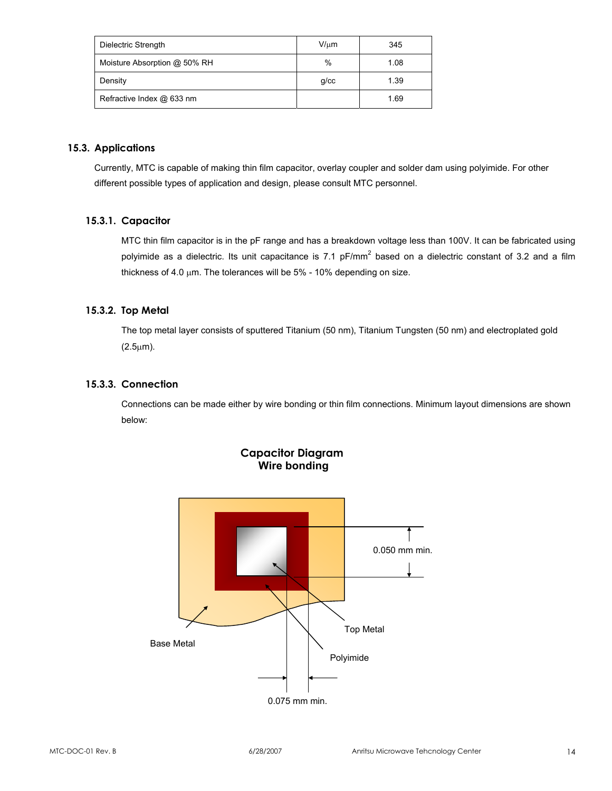| Dielectric Strength          | $V/\mu m$  | 345  |
|------------------------------|------------|------|
| Moisture Absorption @ 50% RH | %          | 1.08 |
| Density                      | $g$ / $cc$ | 1.39 |
| Refractive Index @ 633 nm    |            | 1.69 |

# **15.3. Applications**

Currently, MTC is capable of making thin film capacitor, overlay coupler and solder dam using polyimide. For other different possible types of application and design, please consult MTC personnel.

# **15.3.1. Capacitor**

MTC thin film capacitor is in the pF range and has a breakdown voltage less than 100V. It can be fabricated using polyimide as a dielectric. Its unit capacitance is 7.1 pF/mm<sup>2</sup> based on a dielectric constant of 3.2 and a film thickness of 4.0  $\mu$ m. The tolerances will be 5% - 10% depending on size.

# **15.3.2. Top Metal**

The top metal layer consists of sputtered Titanium (50 nm), Titanium Tungsten (50 nm) and electroplated gold (2.5µm).

# **15.3.3. Connection**

Connections can be made either by wire bonding or thin film connections. Minimum layout dimensions are shown below:



**Capacitor Diagram Wire bonding**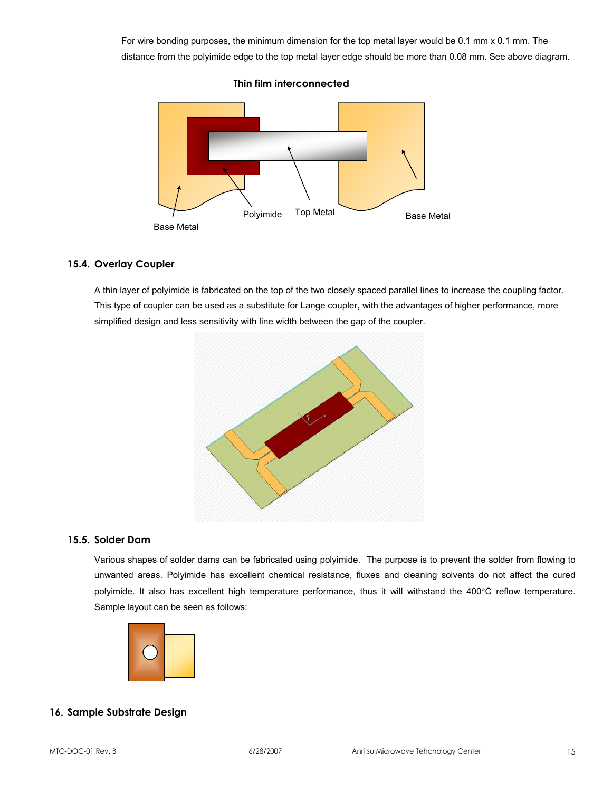For wire bonding purposes, the minimum dimension for the top metal layer would be 0.1 mm x 0.1 mm. The distance from the polyimide edge to the top metal layer edge should be more than 0.08 mm. See above diagram.



**Thin film interconnected** 

# **15.4. Overlay Coupler**

A thin layer of polyimide is fabricated on the top of the two closely spaced parallel lines to increase the coupling factor. This type of coupler can be used as a substitute for Lange coupler, with the advantages of higher performance, more simplified design and less sensitivity with line width between the gap of the coupler.



#### **15.5. Solder Dam**

Various shapes of solder dams can be fabricated using polyimide. The purpose is to prevent the solder from flowing to unwanted areas. Polyimide has excellent chemical resistance, fluxes and cleaning solvents do not affect the cured polyimide. It also has excellent high temperature performance, thus it will withstand the 400°C reflow temperature. Sample layout can be seen as follows:



#### **16. Sample Substrate Design**